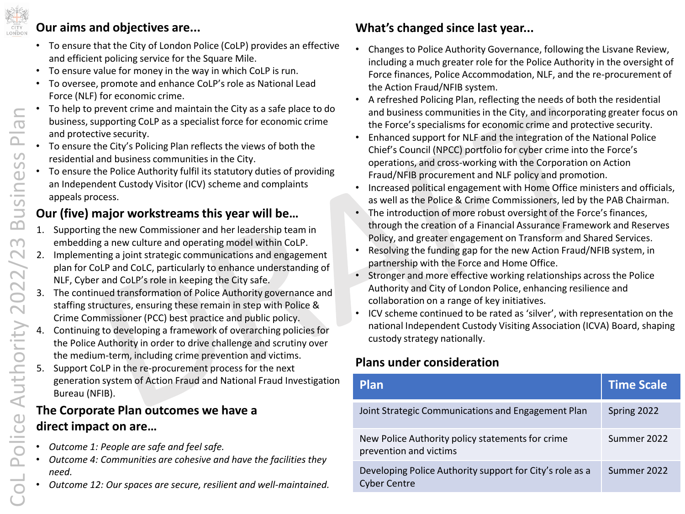

### **Our aims and objectives are...**

- To ensure that the City of London Police (CoLP) provides an effective and efficient policing service for the Square Mile.
- To ensure value for money in the way in which CoLP is run.
- To oversee, promote and enhance CoLP'srole as National Lead Force (NLF) for economic crime.
- To help to prevent crime and maintain the City as a safe place to do business, supporting CoLP as a specialist force for economic crime and protective security.
- To ensure the City's Policing Plan reflects the views of both the residential and business communities in the City.
- To ensure the Police Authority fulfil its statutory duties of providing an Independent Custody Visitor (ICV) scheme and complaints appeals process.

## **Our (five) major workstreams this year will be…**

- 1. Supporting the new Commissioner and her leadership team in embedding a new culture and operating model within CoLP.
- 2. Implementing a joint strategic communications and engagement plan for CoLP and CoLC, particularly to enhance understanding of NLF, Cyber and CoLP's role in keeping the City safe.
- The continued transformation of Police Authority governance and staffing structures, ensuring these remain in step with Police & Crime Commissioner (PCC) best practice and public policy.
- 4. Continuing to developing a framework of overarching policies for the Police Authority in order to drive challenge and scrutiny over the medium-term, including crime prevention and victims.
- 5. Support CoLP in the re-procurement process for the next generation system of Action Fraud and National Fraud Investigation Bureau (NFIB).

## **The Corporate Plan outcomes we have a direct impact on are…**

- *Outcome 1: People are safe and feel safe.*
- *Outcome 4: Communities are cohesive and have the facilities they need.*
- *Outcome 12: Our spaces are secure, resilient and well-maintained.*

# **What's changed since last year...**

- Changes to Police Authority Governance, following the Lisvane Review, including a much greater role for the Police Authority in the oversight of Force finances, Police Accommodation, NLF, and the re-procurement of the Action Fraud/NFIB system.
- A refreshed Policing Plan, reflecting the needs of both the residential and business communities in the City, and incorporating greater focus on the Force's specialisms for economic crime and protective security.
- Enhanced support for NLF and the integration of the National Police Chief's Council (NPCC) portfolio for cyber crime into the Force's operations, and cross-working with the Corporation on Action Fraud/NFIB procurement and NLF policy and promotion.
- Increased political engagement with Home Office ministers and officials, as well as the Police & Crime Commissioners, led by the PAB Chairman.
- The introduction of more robust oversight of the Force's finances, through the creation of a Financial Assurance Framework and Reserves Policy, and greater engagement on Transform and Shared Services.
- Resolving the funding gap for the new Action Fraud/NFIB system, in partnership with the Force and Home Office.
- Stronger and more effective working relationships across the Police Authority and City of London Police, enhancing resilience and collaboration on a range of key initiatives.
- ICV scheme continued to be rated as 'silver', with representation on the national Independent Custody Visiting Association (ICVA) Board, shaping custody strategy nationally.

## **Plans under consideration**

| <b>Plan</b>                                                                     | <b>Time Scale</b> |
|---------------------------------------------------------------------------------|-------------------|
| Joint Strategic Communications and Engagement Plan                              | Spring 2022       |
| New Police Authority policy statements for crime<br>prevention and victims      | Summer 2022       |
| Developing Police Authority support for City's role as a<br><b>Cyber Centre</b> | Summer 2022       |